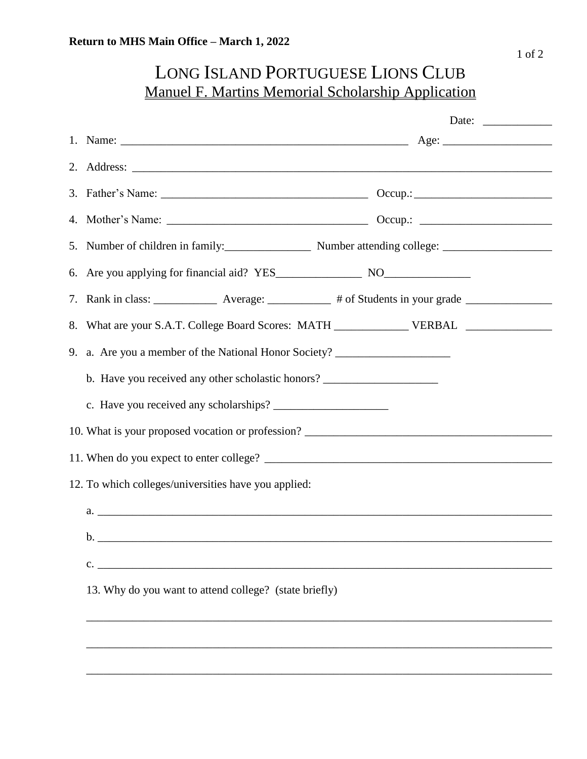## LONG ISLAND PORTUGUESE LIONS CLUB Manuel F. Martins Memorial Scholarship Application

|                                                      |                                                                                          | Date: |  |  |
|------------------------------------------------------|------------------------------------------------------------------------------------------|-------|--|--|
|                                                      |                                                                                          |       |  |  |
|                                                      |                                                                                          |       |  |  |
|                                                      |                                                                                          |       |  |  |
|                                                      |                                                                                          |       |  |  |
|                                                      |                                                                                          |       |  |  |
|                                                      |                                                                                          |       |  |  |
|                                                      |                                                                                          |       |  |  |
|                                                      | 8. What are your S.A.T. College Board Scores: MATH _______________ VERBAL ______________ |       |  |  |
|                                                      | 9. a. Are you a member of the National Honor Society? __________________________         |       |  |  |
|                                                      | b. Have you received any other scholastic honors? ______________________________         |       |  |  |
|                                                      |                                                                                          |       |  |  |
|                                                      |                                                                                          |       |  |  |
|                                                      |                                                                                          |       |  |  |
| 12. To which colleges/universities have you applied: |                                                                                          |       |  |  |
|                                                      | $a.$ $\overline{\phantom{a}}$                                                            |       |  |  |
|                                                      |                                                                                          |       |  |  |
|                                                      | $\mathcal{C}$ .                                                                          |       |  |  |
|                                                      | 13. Why do you want to attend college? (state briefly)                                   |       |  |  |
|                                                      |                                                                                          |       |  |  |
|                                                      |                                                                                          |       |  |  |